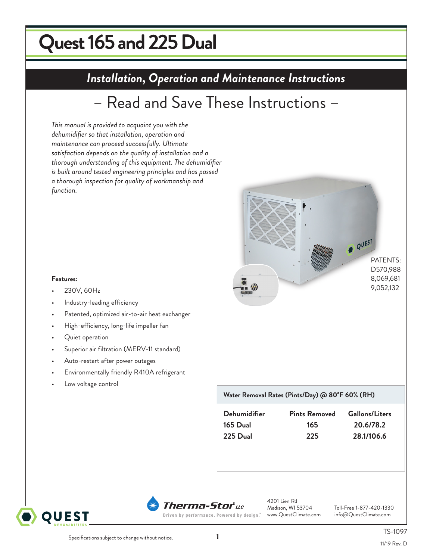# **Quest 165 and 225 Dual uest 215 DryDual**

## **Installation, Operation and Maintenance Instructions** *Installation, Operation and Maintenance Instructions*

## – Read and Save These Instructions –

*This manual is provided to acquaint you with the dehumidifier so that installation, operation and maintenance can proceed successfully. Ultimate satisfaction depends on the quality of installation and a thorough understanding of this equipment. The dehumidifier is built around tested engineering principles and has passed a thorough inspection for quality of workmanship and function.*



#### **Features:**

- 230V, 60Hz
- Industry-leading efficiency
- Patented, optimized air-to-air heat exchanger
- High-efficiency, long-life impeller fan
- Quiet operation
- Superior air filtration (MERV-11 standard)
- Auto-restart after power outages
- Environmentally friendly R410A refrigerant
- Low voltage control

### **Water Removal Rates (Pints/Day) @ 80°F 60% (RH)**

| Dehumidifier | <b>Pints Removed</b> | <b>Gallons/Liters</b> |
|--------------|----------------------|-----------------------|
| 165 Dual     | 165                  | 20.6/78.2             |
| 225 Dual     | 225                  | 28.1/106.6            |





4201 Lien Rd<br>Madison, WI 53704

Toll-Free 1-877-420-1330<br>info@QuestClimate.com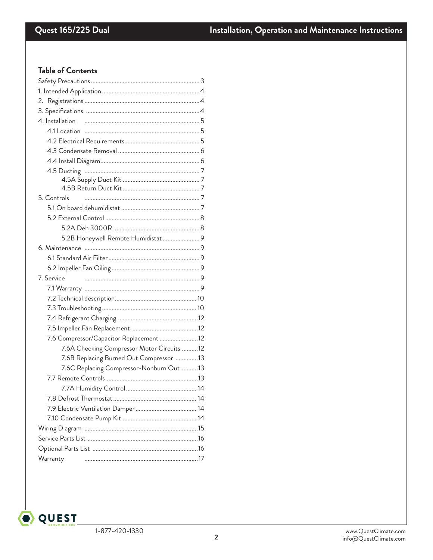### **Table of Contents**

| 4. Installation                            |  |  |  |  |
|--------------------------------------------|--|--|--|--|
|                                            |  |  |  |  |
|                                            |  |  |  |  |
|                                            |  |  |  |  |
|                                            |  |  |  |  |
|                                            |  |  |  |  |
|                                            |  |  |  |  |
|                                            |  |  |  |  |
| 5. Controls                                |  |  |  |  |
|                                            |  |  |  |  |
|                                            |  |  |  |  |
|                                            |  |  |  |  |
| 5.2B Honeywell Remote Humidistat  9        |  |  |  |  |
|                                            |  |  |  |  |
|                                            |  |  |  |  |
|                                            |  |  |  |  |
| 7. Service                                 |  |  |  |  |
|                                            |  |  |  |  |
|                                            |  |  |  |  |
|                                            |  |  |  |  |
|                                            |  |  |  |  |
|                                            |  |  |  |  |
| 7.6 Compressor/Capacitor Replacement 12    |  |  |  |  |
| 7.6A Checking Compressor Motor Circuits 12 |  |  |  |  |
| 7.6B Replacing Burned Out Compressor 13    |  |  |  |  |
| 7.6C Replacing Compressor-Nonburn Out13    |  |  |  |  |
|                                            |  |  |  |  |
|                                            |  |  |  |  |
|                                            |  |  |  |  |
|                                            |  |  |  |  |
|                                            |  |  |  |  |
|                                            |  |  |  |  |
|                                            |  |  |  |  |
|                                            |  |  |  |  |
| Warranty                                   |  |  |  |  |
|                                            |  |  |  |  |

O QUEST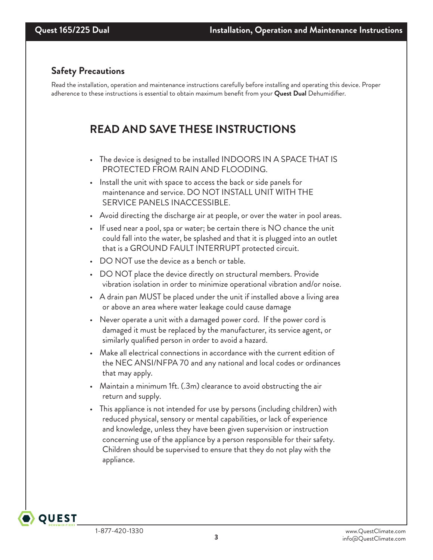### **Safety Precautions**

Read the installation, operation and maintenance instructions carefully before installing and operating this device. Proper adherence to these instructions is essential to obtain maximum benefit from your **Quest Dual** Dehumidifier.

## **READ AND SAVE THESE INSTRUCTIONS**

- The device is designed to be installed INDOORS IN A SPACE THAT IS PROTECTED FROM RAIN AND FLOODING.
- Install the unit with space to access the back or side panels for maintenance and service. DO NOT INSTALL UNIT WITH THE SERVICE PANELS INACCESSIBLE.
- Avoid directing the discharge air at people, or over the water in pool areas.
- If used near a pool, spa or water; be certain there is NO chance the unit could fall into the water, be splashed and that it is plugged into an outlet that is a GROUND FAULT INTERRUPT protected circuit.
- DO NOT use the device as a bench or table.
- DO NOT place the device directly on structural members. Provide vibration isolation in order to minimize operational vibration and/or noise.
- A drain pan MUST be placed under the unit if installed above a living area or above an area where water leakage could cause damage
- Never operate a unit with a damaged power cord. If the power cord is damaged it must be replaced by the manufacturer, its service agent, or similarly qualified person in order to avoid a hazard.
- Make all electrical connections in accordance with the current edition of the NEC ANSI/NFPA 70 and any national and local codes or ordinances that may apply.
- Maintain a minimum 1ft. (.3m) clearance to avoid obstructing the air return and supply.
- This appliance is not intended for use by persons (including children) with reduced physical, sensory or mental capabilities, or lack of experience and knowledge, unless they have been given supervision or instruction concerning use of the appliance by a person responsible for their safety. Children should be supervised to ensure that they do not play with the appliance.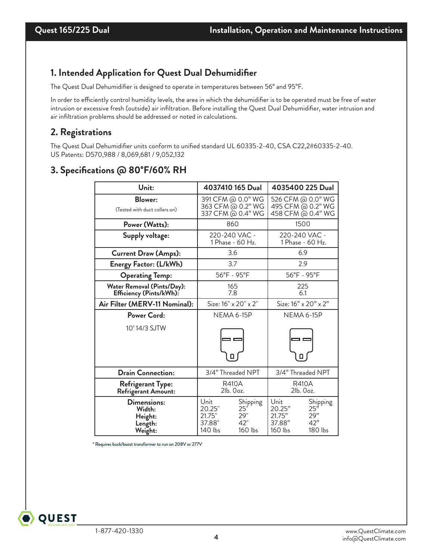### **1. Intended Application for Quest Dual Dehumidifier**

The Quest Dual Dehumidifier is designed to operate in temperatures between 56° and 95°F.

In order to efficiently control humidity levels, the area in which the dehumidifier is to be operated must be free of water intrusion or excessive fresh (outside) air infiltration. Before installing the Quest Dual Dehumidifier, water intrusion and air infiltration problems should be addressed or noted in calculations.

### **2. Registrations**

The Quest Dual Dehumidifier units conform to unified standard UL 60335-2-40, CSA C22,2#60335-2-40. US Patents: D570,988 / 8,069,681 / 9,052,132

### **3. Specifications @ 80°F/60% RH**

| Unit:                                                  | 4037410 165 Dual                                                                          | 4035400 225 Dual                                                                           |  |  |
|--------------------------------------------------------|-------------------------------------------------------------------------------------------|--------------------------------------------------------------------------------------------|--|--|
| <b>Blower:</b><br>(Tested with duct collars on)        | 391 CFM @ 0.0" WG<br>363 CFM @ 0.2" WG<br>337 CFM @ 0.4" WG                               | 526 CFM @ 0.0" WG<br>495 CFM @ 0.2" WG<br>458 CFM @ 0.4" WG                                |  |  |
| Power (Watts):                                         | 860                                                                                       | 1500                                                                                       |  |  |
| Supply voltage:                                        | 220-240 VAC -<br>1 Phase - 60 Hz.                                                         | 220-240 VAC -<br>1 Phase - 60 Hz.                                                          |  |  |
| <b>Current Draw (Amps):</b>                            | 3.6                                                                                       | 6.9                                                                                        |  |  |
| Energy Factor: (L/kWh)                                 | 3.7                                                                                       | 2.9                                                                                        |  |  |
| <b>Operating Temp:</b>                                 | 56°F - 95°F                                                                               | 56°F - 95°F                                                                                |  |  |
| Water Removal (Pints/Day):<br>Efficiency (Pints/kWh):  | 165<br>7.8                                                                                | 225<br>6.1                                                                                 |  |  |
| Air Filter (MERV-11 Nominal):                          | Size: 16" x 20" x 2"                                                                      | Size: $16" \times 20" \times 2"$                                                           |  |  |
| Power Cord:                                            | <b>NEMA 6-15P</b>                                                                         | <b>NEMA 6-15P</b>                                                                          |  |  |
| 10' 14/3 SJTW                                          | 0                                                                                         |                                                                                            |  |  |
| <b>Drain Connection:</b>                               | 3/4" Threaded NPT                                                                         | 3/4" Threaded NPT                                                                          |  |  |
| <b>Refrigerant Type:</b><br>Refrigerant Amount:        | <b>R410A</b><br>2lb. Ooz.                                                                 | <b>R410A</b><br>2lb. Ooz.                                                                  |  |  |
| Dimensions:<br>Width:<br>Height:<br>Length:<br>Weight: | Unit<br>Shipping<br>25'<br>20.25"<br>21.75"<br>29"<br>42"<br>37.88"<br>140 lbs<br>160 lbs | Unit<br>Shipping<br>25''<br>20.25"<br>21.75"<br>29"<br>37.88"<br>42"<br>160 lbs<br>180 lbs |  |  |

\* Requires buck/boost transformer to run on 208V or 277V

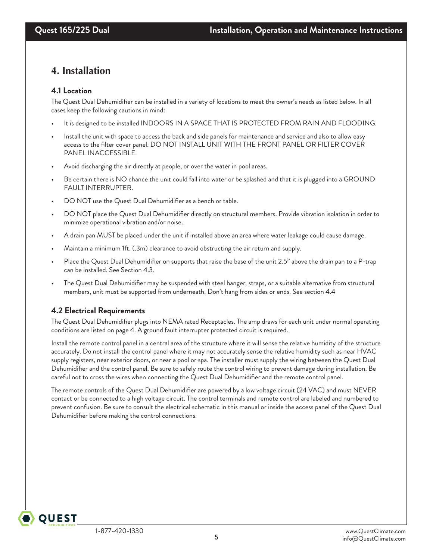### **4. Installation**

### **4.1 Location**

The Quest Dual Dehumidifier can be installed in a variety of locations to meet the owner's needs as listed below. In all cases keep the following cautions in mind:

- It is designed to be installed INDOORS IN A SPACE THAT IS PROTECTED FROM RAIN AND FLOODING.
- Install the unit with space to access the back and side panels for maintenance and service and also to allow easy access to the filter cover panel. DO NOT INSTALL UNIT WITH THE FRONT PANEL OR FILTER COVER PANEL INACCESSIBLE.
- Avoid discharging the air directly at people, or over the water in pool areas.
- Be certain there is NO chance the unit could fall into water or be splashed and that it is plugged into a GROUND FAULT INTERRUPTER.
- DO NOT use the Quest Dual Dehumidifier as a bench or table.
- DO NOT place the Quest Dual Dehumidifier directly on structural members. Provide vibration isolation in order to minimize operational vibration and/or noise.
- A drain pan MUST be placed under the unit if installed above an area where water leakage could cause damage.
- Maintain a minimum 1ft. (.3m) clearance to avoid obstructing the air return and supply.
- Place the Quest Dual Dehumidifier on supports that raise the base of the unit 2.5" above the drain pan to a P-trap can be installed. See Section 4.3.
- The Quest Dual Dehumidifier may be suspended with steel hanger, straps, or a suitable alternative from structural members, unit must be supported from underneath. Don't hang from sides or ends. See section 4.4

### **4.2 Electrical Requirements**

The Quest Dual Dehumidifier plugs into NEMA rated Receptacles. The amp draws for each unit under normal operating conditions are listed on page 4. A ground fault interrupter protected circuit is required.

Install the remote control panel in a central area of the structure where it will sense the relative humidity of the structure accurately. Do not install the control panel where it may not accurately sense the relative humidity such as near HVAC supply registers, near exterior doors, or near a pool or spa. The installer must supply the wiring between the Quest Dual Dehumidifier and the control panel. Be sure to safely route the control wiring to prevent damage during installation. Be careful not to cross the wires when connecting the Quest Dual Dehumidifier and the remote control panel.

The remote controls of the Quest Dual Dehumidifier are powered by a low voltage circuit (24 VAC) and must NEVER contact or be connected to a high voltage circuit. The control terminals and remote control are labeled and numbered to prevent confusion. Be sure to consult the electrical schematic in this manual or inside the access panel of the Quest Dual Dehumidifier before making the control connections.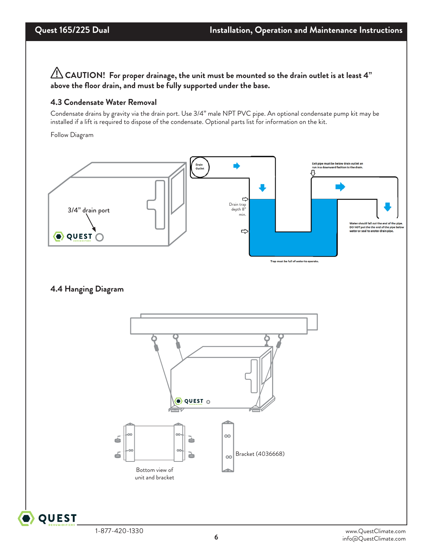$\bigwedge$  CAUTION! For proper drainage, the unit must be mounted so the drain outlet is at least 4" **above the floor drain, and must be fully supported under the base.**

### **4.3 Condensate Water Removal**

Condensate drains by gravity via the drain port. Use 3/4" male NPT PVC pipe. An optional condensate pump kit may be installed if a lift is required to dispose of the condensate. Optional parts list for information on the kit.

Follow Diagram



### **4.4 Hanging Diagram**

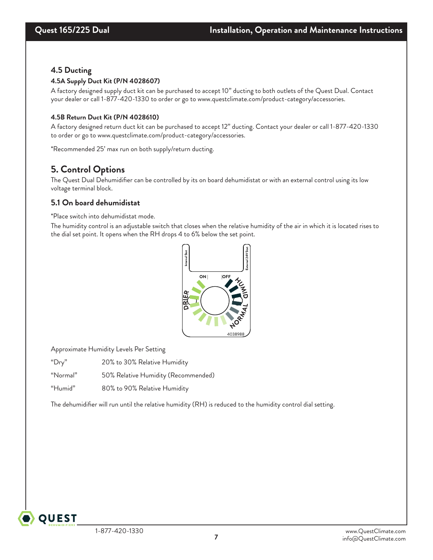### **4.5 Ducting**

### **4.5A Supply Duct Kit (P/N 4028607)**

A factory designed supply duct kit can be purchased to accept 10" ducting to both outlets of the Quest Dual. Contact your dealer or call 1-877-420-1330 to order or go to www.questclimate.com/product-category/accessories.

### **4.5B Return Duct Kit (P/N 4028610)**

A factory designed return duct kit can be purchased to accept 12" ducting. Contact your dealer or call 1-877-420-1330 to order or go to www.questclimate.com/product-category/accessories.

\*Recommended 25' max run on both supply/return ducting.

### **5. Control Options**

The Quest Dual Dehumidifier can be controlled by its on board dehumidistat or with an external control using its low voltage terminal block.

### **5.1 On board dehumidistat**

\*Place switch into dehumidistat mode.

The humidity control is an adjustable switch that closes when the relative humidity of the air in which it is located rises to the dial set point. It opens when the RH drops 4 to 6% below the set point.



Approximate Humidity Levels Per Setting

"Dry" 20% to 30% Relative Humidity

"Normal" 50% Relative Humidity (Recommended)

"Humid" 80% to 90% Relative Humidity

The dehumidifier will run until the relative humidity (RH) is reduced to the humidity control dial setting.

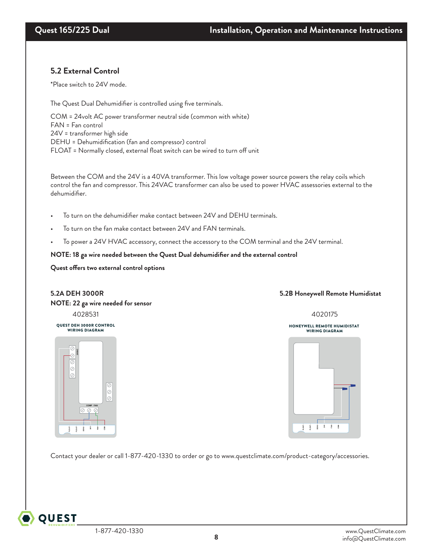### **5.2 External Control**

\*Place switch to 24V mode.

The Quest Dual Dehumidifier is controlled using five terminals.

COM = 24volt AC power transformer neutral side (common with white)<br>FAN = Fan control<br>24V = transformer high side<br>DEHU = Dehumidification (fan and compressor) control FAN = Fan control 24V = transformer high side DEHU = Dehumidification (fan and compressor) control FLOAT = Normally closed, external float switch can be wired to turn off unit I can be wired<br>

Between the COM and the 24V is a 40VA transformer. This low voltage power source powers the relay coils which control the fan and compressor. This 24VAC transformer can also be used to power HVAC assessories external to the dehumidifier.

- To turn on the dehumidifier make contact between 24V and DEHU terminals.
- To turn on the fan make contact between 24V and FAN terminals.
- To power a 24V HVAC accessory, connect the accessory to the COM terminal and the 24V terminal.

#### **NOTE: 18 ga wire needed between the Quest Dual dehumidifier and the external control**

#### **Quest offers two external control options**

# **NOTE: 22 ga wire needed for sensor**

QUEST DEH 3000R CONTROL WIRING DIAGRAM

HONEYWELL REMOTE HUMIDISTAT WIRING DIAGRAM

**COM**



### **5.2A DEH 3000R 5.2B Honeywell Remote Humidistat**

BEFORE TURNING ON UNIT: 1. CUT AND REMOVE ZIP TIE 2. PLUG HOLES USING INCLUDED PLUGS

#### 4028531 4020175

### HONEYWELL REMOTE HUMIDISTAT WIRING DIAGRAM



Contact your dealer or call 1-877-420-1330 to order or go to www.questclimate.com/product-category/accessories.

**COMP FAN**

QUEST DEH 3000R CONTROL WIRING DIAGRAM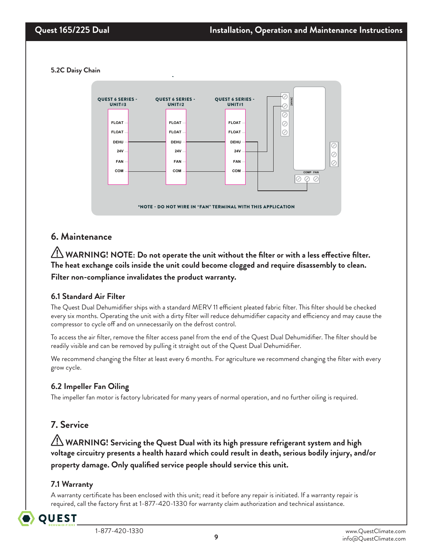**5.2C Daisy Chain** 



### **6. Maintenance**

 **WARNING! NOTE: Do not operate the unit without the filter or with a less effective filter. The heat exchange coils inside the unit could become clogged and require disassembly to clean. Filter non-compliance invalidates the product warranty.**

### **6.1 Standard Air Filter**

The Quest Dual Dehumidifier ships with a standard MERV 11 efficient pleated fabric filter. This filter should be checked every six months. Operating the unit with a dirty filter will reduce dehumidifier capacity and efficiency and may cause the compressor to cycle off and on unnecessarily on the defrost control.

To access the air filter, remove the filter access panel from the end of the Quest Dual Dehumidifier. The filter should be readily visible and can be removed by pulling it straight out of the Quest Dual Dehumidifier.

We recommend changing the filter at least every 6 months. For agriculture we recommend changing the filter with every grow cycle.

### **6.2 Impeller Fan Oiling**

The impeller fan motor is factory lubricated for many years of normal operation, and no further oiling is required.

### **7. Service**

 **WARNING! Servicing the Quest Dual with its high pressure refrigerant system and high voltage circuitry presents a health hazard which could result in death, serious bodily injury, and/or property damage. Only qualified service people should service this unit.**

### **7.1 Warranty**

A warranty certificate has been enclosed with this unit; read it before any repair is initiated. If a warranty repair is required, call the factory first at 1-877-420-1330 for warranty claim authorization and technical assistance.

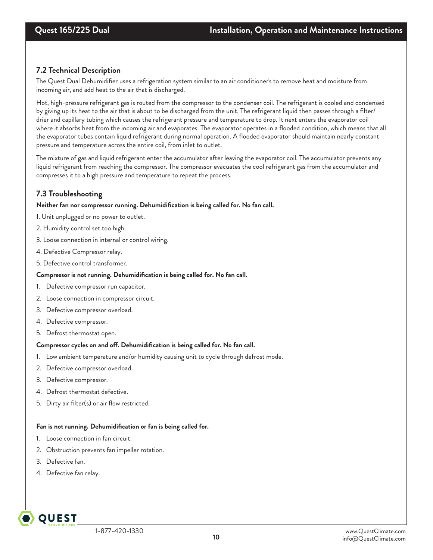### **7.2 Technical Description**

The Quest Dual Dehumidifier uses a refrigeration system similar to an air conditioner's to remove heat and moisture from incoming air, and add heat to the air that is discharged.

Hot, high-pressure refrigerant gas is routed from the compressor to the condenser coil. The refrigerant is cooled and condensed by giving up its heat to the air that is about to be discharged from the unit. The refrigerant liquid then passes through a filter/ drier and capillary tubing which causes the refrigerant pressure and temperature to drop. It next enters the evaporator coil where it absorbs heat from the incoming air and evaporates. The evaporator operates in a flooded condition, which means that all the evaporator tubes contain liquid refrigerant during normal operation. A flooded evaporator should maintain nearly constant pressure and temperature across the entire coil, from inlet to outlet.

The mixture of gas and liquid refrigerant enter the accumulator after leaving the evaporator coil. The accumulator prevents any liquid refrigerant from reaching the compressor. The compressor evacuates the cool refrigerant gas from the accumulator and compresses it to a high pressure and temperature to repeat the process.

### **7.3 Troubleshooting**

#### **Neither fan nor compressor running. Dehumidification is being called for. No fan call.**

- 1. Unit unplugged or no power to outlet.
- 2. Humidity control set too high.
- 3. Loose connection in internal or control wiring.
- 4. Defective Compressor relay.
- 5. Defective control transformer.

#### **Compressor is not running. Dehumidification is being called for. No fan call.**

- 1. Defective compressor run capacitor.
- 2. Loose connection in compressor circuit.
- 3. Defective compressor overload.
- 4. Defective compressor.
- 5. Defrost thermostat open.

### **Compressor cycles on and off. Dehumidification is being called for. No fan call.**

- 1. Low ambient temperature and/or humidity causing unit to cycle through defrost mode.
- 2. Defective compressor overload.
- 3. Defective compressor.
- 4. Defrost thermostat defective.
- 5. Dirty air filter(s) or air flow restricted.

#### **Fan is not running. Dehumidification or fan is being called for.**

- 1. Loose connection in fan circuit.
- 2. Obstruction prevents fan impeller rotation.
- 3. Defective fan.

**OUEST** 

4. Defective fan relay.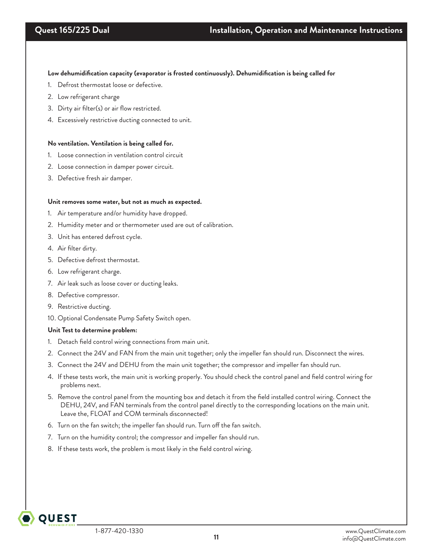**Low dehumidification capacity (evaporator is frosted continuously). Dehumidification is being called for**

- 1. Defrost thermostat loose or defective.
- 2. Low refrigerant charge
- 3. Dirty air filter(s) or air flow restricted.
- 4. Excessively restrictive ducting connected to unit.

#### **No ventilation. Ventilation is being called for.**

- 1. Loose connection in ventilation control circuit
- 2. Loose connection in damper power circuit.
- 3. Defective fresh air damper.

#### **Unit removes some water, but not as much as expected.**

- 1. Air temperature and/or humidity have dropped.
- 2. Humidity meter and or thermometer used are out of calibration.
- 3. Unit has entered defrost cycle.
- 4. Air filter dirty.
- 5. Defective defrost thermostat.
- 6. Low refrigerant charge.
- 7. Air leak such as loose cover or ducting leaks.
- 8. Defective compressor.
- 9. Restrictive ducting.

**OUEST** 

10. Optional Condensate Pump Safety Switch open.

#### **Unit Test to determine problem:**

- 1. Detach field control wiring connections from main unit.
- 2. Connect the 24V and FAN from the main unit together; only the impeller fan should run. Disconnect the wires.
- 3. Connect the 24V and DEHU from the main unit together; the compressor and impeller fan should run.
- 4. If these tests work, the main unit is working properly. You should check the control panel and field control wiring for problems next.
- 5. Remove the control panel from the mounting box and detach it from the field installed control wiring. Connect the DEHU, 24V, and FAN terminals from the control panel directly to the corresponding locations on the main unit. Leave the, FLOAT and COM terminals disconnected!
- 6. Turn on the fan switch; the impeller fan should run. Turn off the fan switch.
- 7. Turn on the humidity control; the compressor and impeller fan should run.
- 8. If these tests work, the problem is most likely in the field control wiring.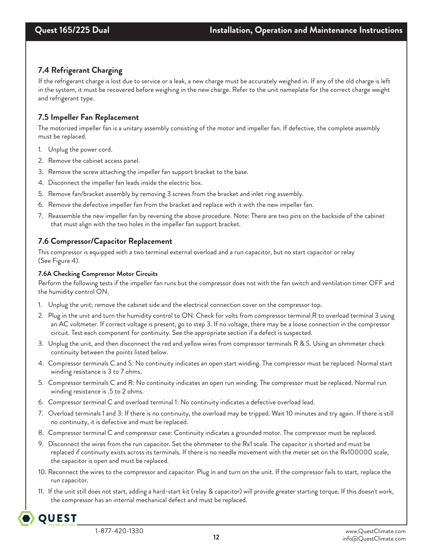### **7.4 Refrigerant Charging**

If the refrigerant charge is lost due to service or a leak, a new charge must be accurately weighed in. If any of the old charge is left in the system, it must be recovered before weighing in the new charge. Refer to the unit nameplate for the correct charge weight and refrigerant type.

### **7.5 Impeller Fan Replacement**

The motorized impeller fan is a unitary assembly consisting of the motor and impeller fan. If defective, the complete assembly must be replaced.

- 1. Unplug the power cord.
- 2. Remove the cabinet access panel.
- 3. Remove the screw attaching the impeller fan support bracket to the base.
- 4. Disconnect the impeller fan leads inside the electric box.
- 5. Remove fan/bracket assembly by removing 3 screws from the bracket and inlet ring assembly.
- 6. Remove the defective impeller fan from the bracket and replace with it with the new impeller fan.
- 7. Reassemble the new impeller fan by reversing the above procedure. Note: There are two pins on the backside of the cabinet that must align with the two holes in the impeller fan support bracket.

### **7.6 Compressor/Capacitor Replacement**

This compressor is equipped with a two terminal external overload and a run capacitor, but no start capacitor or relay (See Figure 4).

### **7.6A Checking Compressor Motor Circuits**

Perform the following tests if the impeller fan runs but the compressor does not with the fan switch and ventilation timer OFF and the humidity control ON.

- 1. Unplug the unit; remove the cabinet side and the electrical connection cover on the compressor top.
- 2. Plug in the unit and turn the humidity control to ON. Check for volts from compressor terminal R to overload terminal 3 using an AC voltmeter. If correct voltage is present, go to step 3. If no voltage, there may be a loose connection in the compressor circuit. Test each component for continuity. See the appropriate section if a defect is suspected.
- 3. Unplug the unit, and then disconnect the red and yellow wires from compressor terminals R & S. Using an ohmmeter check continuity between the points listed below.
- 4. Compressor terminals C and S: No continuity indicates an open start winding. The compressor must be replaced. Normal start winding resistance is 3 to 7 ohms.
- 5. Compressor terminals C and R: No continuity indicates an open run winding. The compressor must be replaced. Normal run winding resistance is .5 to 2 ohms.
- 6. Compressor terminal C and overload terminal 1: No continuity indicates a defective overload lead.
- 7. Overload terminals 1 and 3: If there is no continuity, the overload may be tripped. Wait 10 minutes and try again. If there is still no continuity, it is defective and must be replaced.
- 8. Compressor terminal C and compressor case: Continuity indicates a grounded motor. The compressor must be replaced.
- 9. Disconnect the wires from the run capacitor. Set the ohmmeter to the Rx1 scale. The capacitor is shorted and must be replaced if continuity exists across its terminals. If there is no needle movement with the meter set on the Rx100000 scale, the capacitor is open and must be replaced.
- 10. Reconnect the wires to the compressor and capacitor. Plug in and turn on the unit. If the compressor fails to start, replace the run capacitor.
- 11. If the unit still does not start, adding a hard-start kit (relay & capacitor) will provide greater starting torque. If this doesn't work, the compressor has an internal mechanical defect and must be replaced.

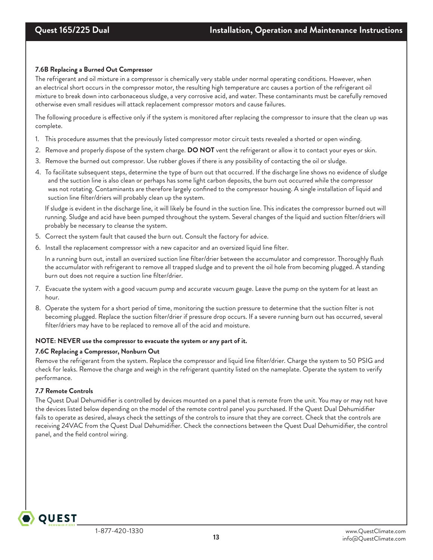### **7.6B Replacing a Burned Out Compressor**

The refrigerant and oil mixture in a compressor is chemically very stable under normal operating conditions. However, when an electrical short occurs in the compressor motor, the resulting high temperature arc causes a portion of the refrigerant oil mixture to break down into carbonaceous sludge, a very corrosive acid, and water. These contaminants must be carefully removed otherwise even small residues will attack replacement compressor motors and cause failures.

The following procedure is effective only if the system is monitored after replacing the compressor to insure that the clean up was complete.

- 1. This procedure assumes that the previously listed compressor motor circuit tests revealed a shorted or open winding.
- 2. Remove and properly dispose of the system charge. **DO NOT** vent the refrigerant or allow it to contact your eyes or skin.
- 3. Remove the burned out compressor. Use rubber gloves if there is any possibility of contacting the oil or sludge.
- 4. To facilitate subsequent steps, determine the type of burn out that occurred. If the discharge line shows no evidence of sludge and the suction line is also clean or perhaps has some light carbon deposits, the burn out occurred while the compressor was not rotating. Contaminants are therefore largely confined to the compressor housing. A single installation of liquid and suction line filter/driers will probably clean up the system.

If sludge is evident in the discharge line, it will likely be found in the suction line. This indicates the compressor burned out will running. Sludge and acid have been pumped throughout the system. Several changes of the liquid and suction filter/driers will probably be necessary to cleanse the system.

- 5. Correct the system fault that caused the burn out. Consult the factory for advice.
- 6. Install the replacement compressor with a new capacitor and an oversized liquid line filter.

In a running burn out, install an oversized suction line filter/drier between the accumulator and compressor. Thoroughly flush the accumulator with refrigerant to remove all trapped sludge and to prevent the oil hole from becoming plugged. A standing burn out does not require a suction line filter/drier.

- 7. Evacuate the system with a good vacuum pump and accurate vacuum gauge. Leave the pump on the system for at least an hour.
- 8. Operate the system for a short period of time, monitoring the suction pressure to determine that the suction filter is not becoming plugged. Replace the suction filter/drier if pressure drop occurs. If a severe running burn out has occurred, several filter/driers may have to be replaced to remove all of the acid and moisture.

### **NOTE: NEVER use the compressor to evacuate the system or any part of it.**

### **7.6C Replacing a Compressor, Nonburn Out**

Remove the refrigerant from the system. Replace the compressor and liquid line filter/drier. Charge the system to 50 PSIG and check for leaks. Remove the charge and weigh in the refrigerant quantity listed on the nameplate. Operate the system to verify performance.

### **7.7 Remote Controls**

**QUEST** 

The Quest Dual Dehumidifier is controlled by devices mounted on a panel that is remote from the unit. You may or may not have the devices listed below depending on the model of the remote control panel you purchased. If the Quest Dual Dehumidifier fails to operate as desired, always check the settings of the controls to insure that they are correct. Check that the controls are receiving 24VAC from the Quest Dual Dehumidifier. Check the connections between the Quest Dual Dehumidifier, the control panel, and the field control wiring.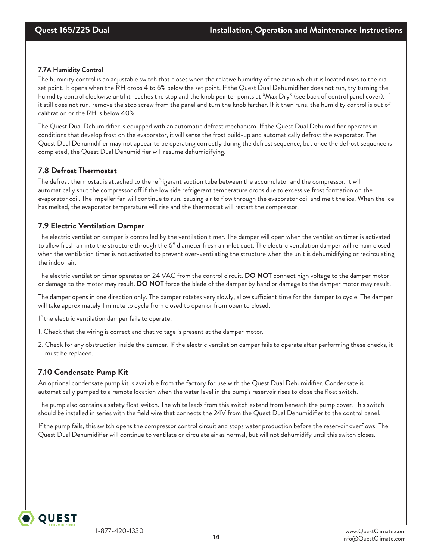### **7.7A Humidity Control**

The humidity control is an adjustable switch that closes when the relative humidity of the air in which it is located rises to the dial set point. It opens when the RH drops 4 to 6% below the set point. If the Quest Dual Dehumidifier does not run, try turning the humidity control clockwise until it reaches the stop and the knob pointer points at "Max Dry" (see back of control panel cover). If it still does not run, remove the stop screw from the panel and turn the knob farther. If it then runs, the humidity control is out of calibration or the RH is below 40%.

The Quest Dual Dehumidifier is equipped with an automatic defrost mechanism. If the Quest Dual Dehumidifier operates in conditions that develop frost on the evaporator, it will sense the frost build-up and automatically defrost the evaporator. The Quest Dual Dehumidifier may not appear to be operating correctly during the defrost sequence, but once the defrost sequence is completed, the Quest Dual Dehumidifier will resume dehumidifying.

### **7.8 Defrost Thermostat**

The defrost thermostat is attached to the refrigerant suction tube between the accumulator and the compressor. It will automatically shut the compressor off if the low side refrigerant temperature drops due to excessive frost formation on the evaporator coil. The impeller fan will continue to run, causing air to flow through the evaporator coil and melt the ice. When the ice has melted, the evaporator temperature will rise and the thermostat will restart the compressor.

### **7.9 Electric Ventilation Damper**

The electric ventilation damper is controlled by the ventilation timer. The damper will open when the ventilation timer is activated to allow fresh air into the structure through the 6" diameter fresh air inlet duct. The electric ventilation damper will remain closed when the ventilation timer is not activated to prevent over-ventilating the structure when the unit is dehumidifying or recirculating the indoor air.

The electric ventilation timer operates on 24 VAC from the control circuit. **DO NOT** connect high voltage to the damper motor or damage to the motor may result. **DO NOT** force the blade of the damper by hand or damage to the damper motor may result.

The damper opens in one direction only. The damper rotates very slowly, allow sufficient time for the damper to cycle. The damper will take approximately 1 minute to cycle from closed to open or from open to closed.

If the electric ventilation damper fails to operate:

- 1. Check that the wiring is correct and that voltage is present at the damper motor.
- 2. Check for any obstruction inside the damper. If the electric ventilation damper fails to operate after performing these checks, it must be replaced.

### **7.10 Condensate Pump Kit**

**QUEST** 

An optional condensate pump kit is available from the factory for use with the Quest Dual Dehumidifier. Condensate is automatically pumped to a remote location when the water level in the pump's reservoir rises to close the float switch.

The pump also contains a safety float switch. The white leads from this switch extend from beneath the pump cover. This switch should be installed in series with the field wire that connects the 24V from the Quest Dual Dehumidifier to the control panel.

If the pump fails, this switch opens the compressor control circuit and stops water production before the reservoir overflows. The Quest Dual Dehumidifier will continue to ventilate or circulate air as normal, but will not dehumidify until this switch closes.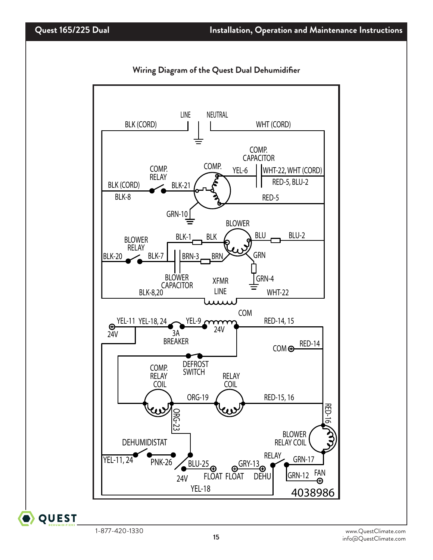

**Wiring Diagram of the Quest Dual Dehumidifier**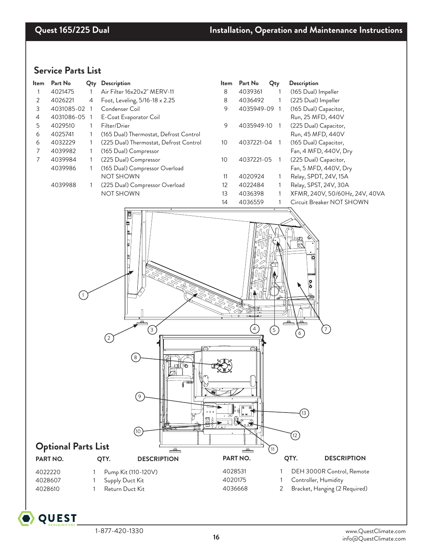### **Service Parts List**

| ltem<br>1<br>2<br>3<br>4<br>5<br>6<br>6<br>7<br>7 | Part No<br>4021475<br>4026221<br>4031085-02 1<br>4031086-05 1<br>4029510<br>4025741<br>4032229<br>4039982<br>4039984<br>4039986<br>4039988 | Qty<br>1<br>4<br>1<br>1<br>1<br>$\mathbf{1}$<br>1<br>1<br>1 | Description<br>Air Filter 16x20x2" MERV-11<br>Foot, Leveling, 5/16-18 x 2.25<br>Condenser Coil<br>E-Coat Evaporator Coil<br>Filter/Drier<br>(165 Dual) Thermostat, Defrost Control<br>(225 Dual) Thermostat, Defrost Control<br>(165 Dual) Compressor<br>(225 Dual) Compressor<br>(165 Dual) Compressor Overload<br><b>NOT SHOWN</b><br>(225 Dual) Compressor Overload<br><b>NOT SHOWN</b> | Item<br>8<br>8<br>9<br>9<br>10<br>10<br>11<br>12<br>13<br>14 | Part No<br>4039361<br>4036492<br>4035949-09 1<br>4035949-10<br>4037221-04<br>4037221-05<br>4020924<br>4022484<br>4036398<br>4036559 | Qty<br>$\mathbf{1}$<br>$\mathbf{1}$<br>$\overline{1}$<br>$\overline{1}$<br>$\overline{1}$<br>1<br>1<br>1<br>1 | Description<br>(165 Dual) Impeller<br>(225 Dual) Impeller<br>(165 Dual) Capacitor,<br>Run, 25 MFD, 440V<br>(225 Dual) Capacitor,<br>Run, 45 MFD, 440V<br>(165 Dual) Capacitor,<br>Fan, 4 MFD, 440V, Dry<br>(225 Dual) Capacitor,<br>Fan, 5 MFD, 440V, Dry<br>Relay, SPDT, 24V, 15A<br>Relay, SPST, 24V, 30A<br>XFMR, 240V, 50/60Hz, 24V, 40VA<br>Circuit Breaker NOT SHOWN |
|---------------------------------------------------|--------------------------------------------------------------------------------------------------------------------------------------------|-------------------------------------------------------------|--------------------------------------------------------------------------------------------------------------------------------------------------------------------------------------------------------------------------------------------------------------------------------------------------------------------------------------------------------------------------------------------|--------------------------------------------------------------|-------------------------------------------------------------------------------------------------------------------------------------|---------------------------------------------------------------------------------------------------------------|----------------------------------------------------------------------------------------------------------------------------------------------------------------------------------------------------------------------------------------------------------------------------------------------------------------------------------------------------------------------------|
|                                                   | <b>Optional Parts List</b><br>PART NO.                                                                                                     |                                                             | 目<br>♦<br>$\ensuremath{\mathsf{3}}$<br>$\left(2\right)$<br>$\begin{bmatrix} 8 \end{bmatrix}$<br>$\overline{9}$<br>(10)<br>كات<br>QTY.<br><b>DESCRIPTION</b>                                                                                                                                                                                                                                |                                                              | 4<br>ව⊢<br>∸<br>PART NO.                                                                                                            | (5)<br>(11)                                                                                                   | ō<br>႙<br>(13)<br>$^{(12)}$<br>QTY.<br><b>DESCRIPTION</b>                                                                                                                                                                                                                                                                                                                  |
| 4022220<br>4028607<br>4028610                     |                                                                                                                                            | 1                                                           | Pump Kit (110-120V)<br>Supply Duct Kit<br>Return Duct Kit                                                                                                                                                                                                                                                                                                                                  | 4028531<br>4020175<br>4036668                                |                                                                                                                                     | 2                                                                                                             | DEH 3000R Control, Remote<br>Controller, Humidity<br>Bracket, Hanging (2 Required)                                                                                                                                                                                                                                                                                         |